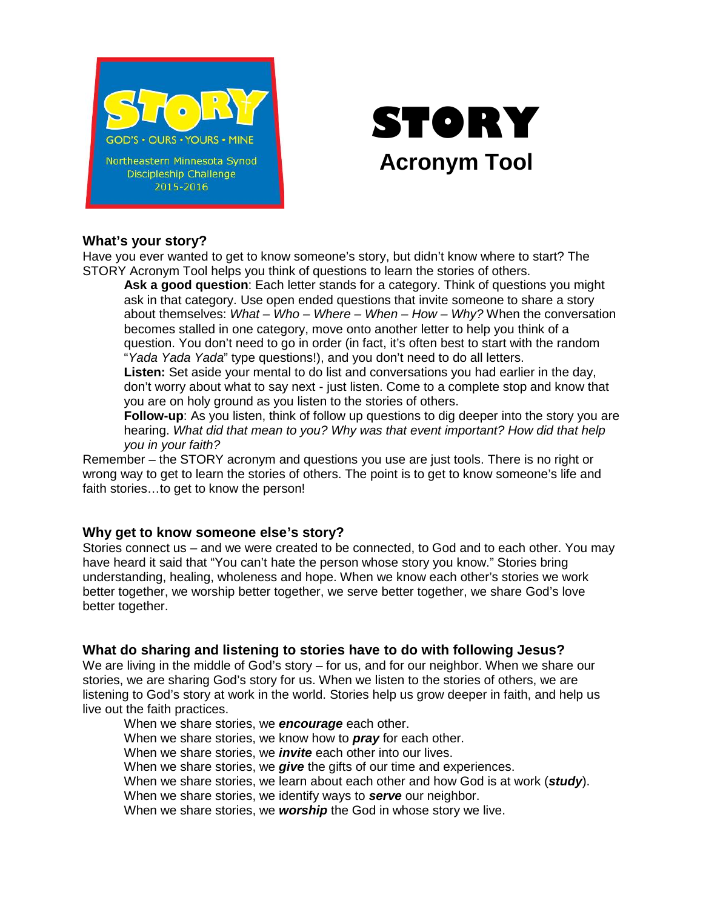



## **What's your story?**

Have you ever wanted to get to know someone's story, but didn't know where to start? The STORY Acronym Tool helps you think of questions to learn the stories of others.

**Ask a good question**: Each letter stands for a category. Think of questions you might ask in that category. Use open ended questions that invite someone to share a story about themselves: *What – Who – Where – When – How – Why?* When the conversation becomes stalled in one category, move onto another letter to help you think of a question. You don't need to go in order (in fact, it's often best to start with the random "*Yada Yada Yada*" type questions!), and you don't need to do all letters.

**Listen:** Set aside your mental to do list and conversations you had earlier in the day, don't worry about what to say next - just listen. Come to a complete stop and know that you are on holy ground as you listen to the stories of others.

**Follow-up**: As you listen, think of follow up questions to dig deeper into the story you are hearing. *What did that mean to you? Why was that event important? How did that help you in your faith?*

Remember – the STORY acronym and questions you use are just tools. There is no right or wrong way to get to learn the stories of others. The point is to get to know someone's life and faith stories…to get to know the person!

# **Why get to know someone else's story?**

Stories connect us – and we were created to be connected, to God and to each other. You may have heard it said that "You can't hate the person whose story you know." Stories bring understanding, healing, wholeness and hope. When we know each other's stories we work better together, we worship better together, we serve better together, we share God's love better together.

# **What do sharing and listening to stories have to do with following Jesus?**

We are living in the middle of God's story – for us, and for our neighbor. When we share our stories, we are sharing God's story for us. When we listen to the stories of others, we are listening to God's story at work in the world. Stories help us grow deeper in faith, and help us live out the faith practices.

When we share stories, we *encourage* each other. When we share stories, we know how to *pray* for each other. When we share stories, we *invite* each other into our lives. When we share stories, we *give* the gifts of our time and experiences. When we share stories, we learn about each other and how God is at work (*study*). When we share stories, we identify ways to *serve* our neighbor. When we share stories, we *worship* the God in whose story we live.